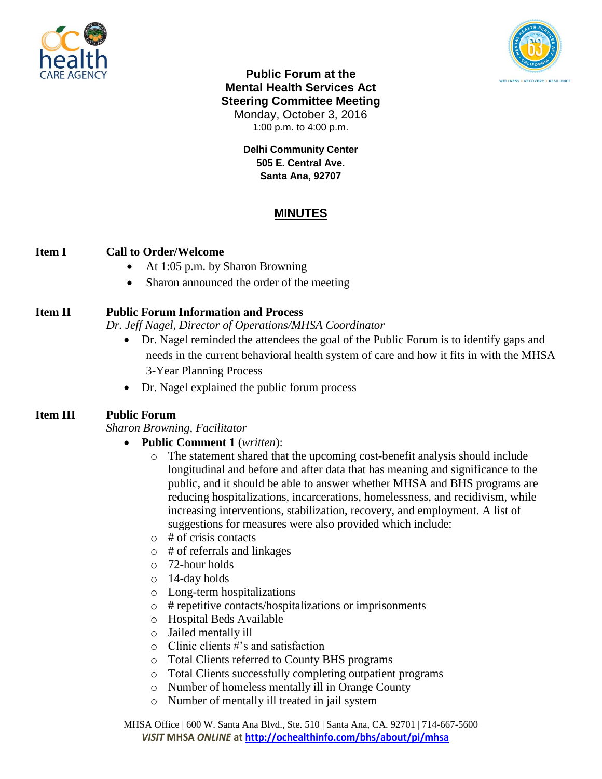



**Public Forum at the Mental Health Services Act Steering Committee Meeting** Monday, October 3, 2016 1:00 p.m. to 4:00 p.m.

> **Delhi Community Center 505 E. Central Ave. Santa Ana, 92707**

# **MINUTES**

### **Item I Call to Order/Welcome**

- At 1:05 p.m. by Sharon Browning
- Sharon announced the order of the meeting

# **Item II Public Forum Information and Process**

*Dr. Jeff Nagel, Director of Operations/MHSA Coordinator*

- Dr. Nagel reminded the attendees the goal of the Public Forum is to identify gaps and needs in the current behavioral health system of care and how it fits in with the MHSA 3-Year Planning Process
- Dr. Nagel explained the public forum process

## **Item III Public Forum**

*Sharon Browning, Facilitator*

- **Public Comment 1** (*written*):
	- o The statement shared that the upcoming cost-benefit analysis should include longitudinal and before and after data that has meaning and significance to the public, and it should be able to answer whether MHSA and BHS programs are reducing hospitalizations, incarcerations, homelessness, and recidivism, while increasing interventions, stabilization, recovery, and employment. A list of suggestions for measures were also provided which include:
	- $\circ$  # of crisis contacts
	- o # of referrals and linkages
	- o 72-hour holds
	- o 14-day holds
	- o Long-term hospitalizations
	- o # repetitive contacts/hospitalizations or imprisonments
	- o Hospital Beds Available
	- o Jailed mentally ill
	- o Clinic clients #'s and satisfaction
	- o Total Clients referred to County BHS programs
	- o Total Clients successfully completing outpatient programs
	- o Number of homeless mentally ill in Orange County
	- o Number of mentally ill treated in jail system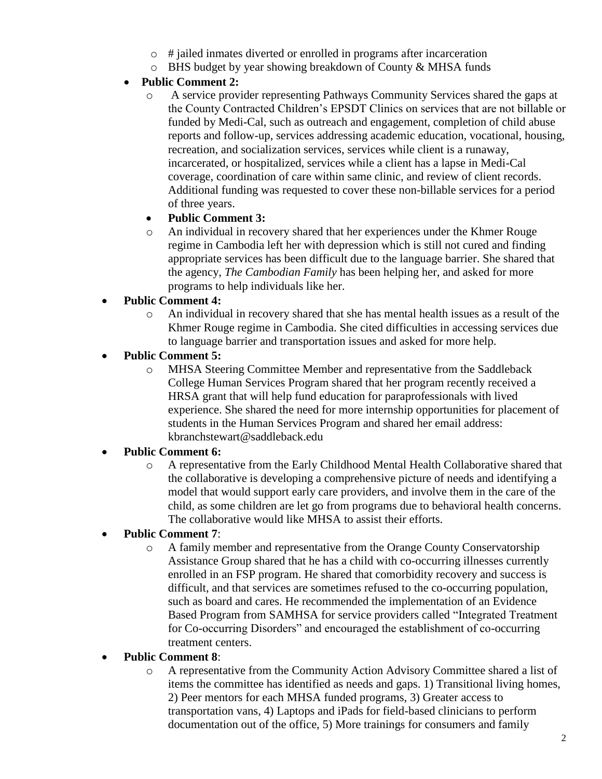- o # jailed inmates diverted or enrolled in programs after incarceration
- o BHS budget by year showing breakdown of County & MHSA funds

# **Public Comment 2:**

o A service provider representing Pathways Community Services shared the gaps at the County Contracted Children's EPSDT Clinics on services that are not billable or funded by Medi-Cal, such as outreach and engagement, completion of child abuse reports and follow-up, services addressing academic education, vocational, housing, recreation, and socialization services, services while client is a runaway, incarcerated, or hospitalized, services while a client has a lapse in Medi-Cal coverage, coordination of care within same clinic, and review of client records. Additional funding was requested to cover these non-billable services for a period of three years.

## **Public Comment 3:**

o An individual in recovery shared that her experiences under the Khmer Rouge regime in Cambodia left her with depression which is still not cured and finding appropriate services has been difficult due to the language barrier. She shared that the agency, *The Cambodian Family* has been helping her, and asked for more programs to help individuals like her.

# **Public Comment 4:**

o An individual in recovery shared that she has mental health issues as a result of the Khmer Rouge regime in Cambodia. She cited difficulties in accessing services due to language barrier and transportation issues and asked for more help.

## **Public Comment 5:**

o MHSA Steering Committee Member and representative from the Saddleback College Human Services Program shared that her program recently received a HRSA grant that will help fund education for paraprofessionals with lived experience. She shared the need for more internship opportunities for placement of students in the Human Services Program and shared her email address: kbranchstewart@saddleback.edu

## **Public Comment 6:**

o A representative from the Early Childhood Mental Health Collaborative shared that the collaborative is developing a comprehensive picture of needs and identifying a model that would support early care providers, and involve them in the care of the child, as some children are let go from programs due to behavioral health concerns. The collaborative would like MHSA to assist their efforts.

## **Public Comment 7**:

o A family member and representative from the Orange County Conservatorship Assistance Group shared that he has a child with co-occurring illnesses currently enrolled in an FSP program. He shared that comorbidity recovery and success is difficult, and that services are sometimes refused to the co-occurring population, such as board and cares. He recommended the implementation of an Evidence Based Program from SAMHSA for service providers called "Integrated Treatment for Co-occurring Disorders" and encouraged the establishment of co-occurring treatment centers.

## **Public Comment 8**:

o A representative from the Community Action Advisory Committee shared a list of items the committee has identified as needs and gaps. 1) Transitional living homes, 2) Peer mentors for each MHSA funded programs, 3) Greater access to transportation vans, 4) Laptops and iPads for field-based clinicians to perform documentation out of the office, 5) More trainings for consumers and family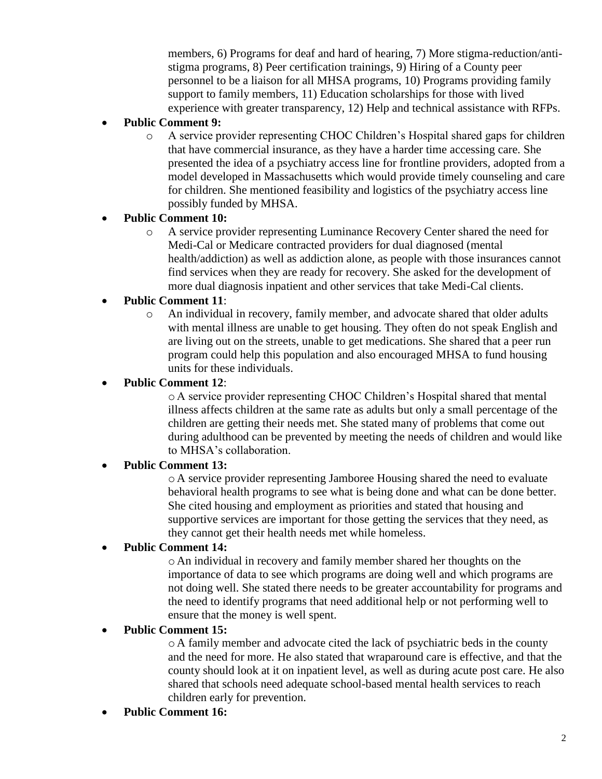members, 6) Programs for deaf and hard of hearing, 7) More stigma-reduction/antistigma programs, 8) Peer certification trainings, 9) Hiring of a County peer personnel to be a liaison for all MHSA programs, 10) Programs providing family support to family members, 11) Education scholarships for those with lived experience with greater transparency, 12) Help and technical assistance with RFPs.

## **Public Comment 9:**

o A service provider representing CHOC Children's Hospital shared gaps for children that have commercial insurance, as they have a harder time accessing care. She presented the idea of a psychiatry access line for frontline providers, adopted from a model developed in Massachusetts which would provide timely counseling and care for children. She mentioned feasibility and logistics of the psychiatry access line possibly funded by MHSA.

### **Public Comment 10:**

o A service provider representing Luminance Recovery Center shared the need for Medi-Cal or Medicare contracted providers for dual diagnosed (mental health/addiction) as well as addiction alone, as people with those insurances cannot find services when they are ready for recovery. She asked for the development of more dual diagnosis inpatient and other services that take Medi-Cal clients.

## **Public Comment 11**:

o An individual in recovery, family member, and advocate shared that older adults with mental illness are unable to get housing. They often do not speak English and are living out on the streets, unable to get medications. She shared that a peer run program could help this population and also encouraged MHSA to fund housing units for these individuals.

#### **Public Comment 12**:

o A service provider representing CHOC Children's Hospital shared that mental illness affects children at the same rate as adults but only a small percentage of the children are getting their needs met. She stated many of problems that come out during adulthood can be prevented by meeting the needs of children and would like to MHSA's collaboration.

#### **Public Comment 13:**

o A service provider representing Jamboree Housing shared the need to evaluate behavioral health programs to see what is being done and what can be done better. She cited housing and employment as priorities and stated that housing and supportive services are important for those getting the services that they need, as they cannot get their health needs met while homeless.

#### **Public Comment 14:**

o An individual in recovery and family member shared her thoughts on the importance of data to see which programs are doing well and which programs are not doing well. She stated there needs to be greater accountability for programs and the need to identify programs that need additional help or not performing well to ensure that the money is well spent.

#### **Public Comment 15:**

o A family member and advocate cited the lack of psychiatric beds in the county and the need for more. He also stated that wraparound care is effective, and that the county should look at it on inpatient level, as well as during acute post care. He also shared that schools need adequate school-based mental health services to reach children early for prevention.

**Public Comment 16:**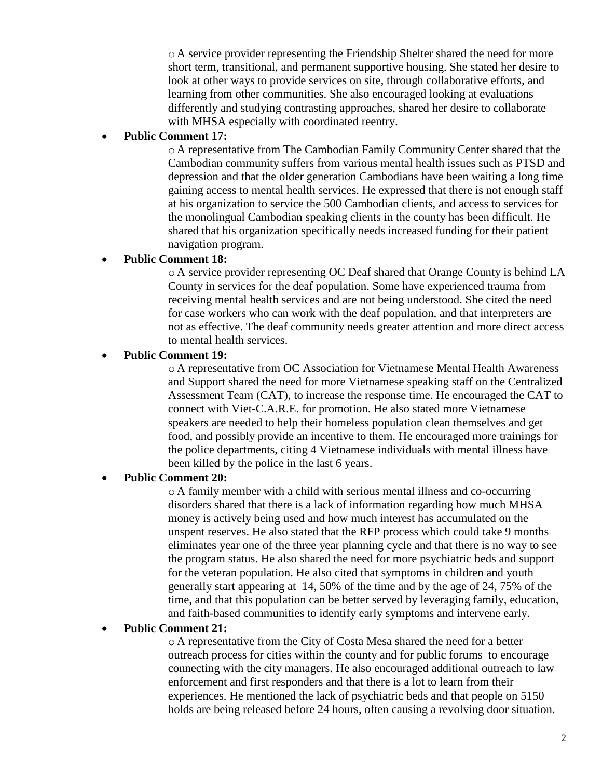o A service provider representing the Friendship Shelter shared the need for more short term, transitional, and permanent supportive housing. She stated her desire to look at other ways to provide services on site, through collaborative efforts, and learning from other communities. She also encouraged looking at evaluations differently and studying contrasting approaches, shared her desire to collaborate with MHSA especially with coordinated reentry.

#### **Public Comment 17:**

o A representative from The Cambodian Family Community Center shared that the Cambodian community suffers from various mental health issues such as PTSD and depression and that the older generation Cambodians have been waiting a long time gaining access to mental health services. He expressed that there is not enough staff at his organization to service the 500 Cambodian clients, and access to services for the monolingual Cambodian speaking clients in the county has been difficult. He shared that his organization specifically needs increased funding for their patient navigation program.

#### **Public Comment 18:**

o A service provider representing OC Deaf shared that Orange County is behind LA County in services for the deaf population. Some have experienced trauma from receiving mental health services and are not being understood. She cited the need for case workers who can work with the deaf population, and that interpreters are not as effective. The deaf community needs greater attention and more direct access to mental health services.

#### **Public Comment 19:**

o A representative from OC Association for Vietnamese Mental Health Awareness and Support shared the need for more Vietnamese speaking staff on the Centralized Assessment Team (CAT), to increase the response time. He encouraged the CAT to connect with Viet-C.A.R.E. for promotion. He also stated more Vietnamese speakers are needed to help their homeless population clean themselves and get food, and possibly provide an incentive to them. He encouraged more trainings for the police departments, citing 4 Vietnamese individuals with mental illness have been killed by the police in the last 6 years.

#### **Public Comment 20:**

o A family member with a child with serious mental illness and co-occurring disorders shared that there is a lack of information regarding how much MHSA money is actively being used and how much interest has accumulated on the unspent reserves. He also stated that the RFP process which could take 9 months eliminates year one of the three year planning cycle and that there is no way to see the program status. He also shared the need for more psychiatric beds and support for the veteran population. He also cited that symptoms in children and youth generally start appearing at 14, 50% of the time and by the age of 24, 75% of the time, and that this population can be better served by leveraging family, education, and faith-based communities to identify early symptoms and intervene early.

#### **Public Comment 21:**

o A representative from the City of Costa Mesa shared the need for a better outreach process for cities within the county and for public forums to encourage connecting with the city managers. He also encouraged additional outreach to law enforcement and first responders and that there is a lot to learn from their experiences. He mentioned the lack of psychiatric beds and that people on 5150 holds are being released before 24 hours, often causing a revolving door situation.